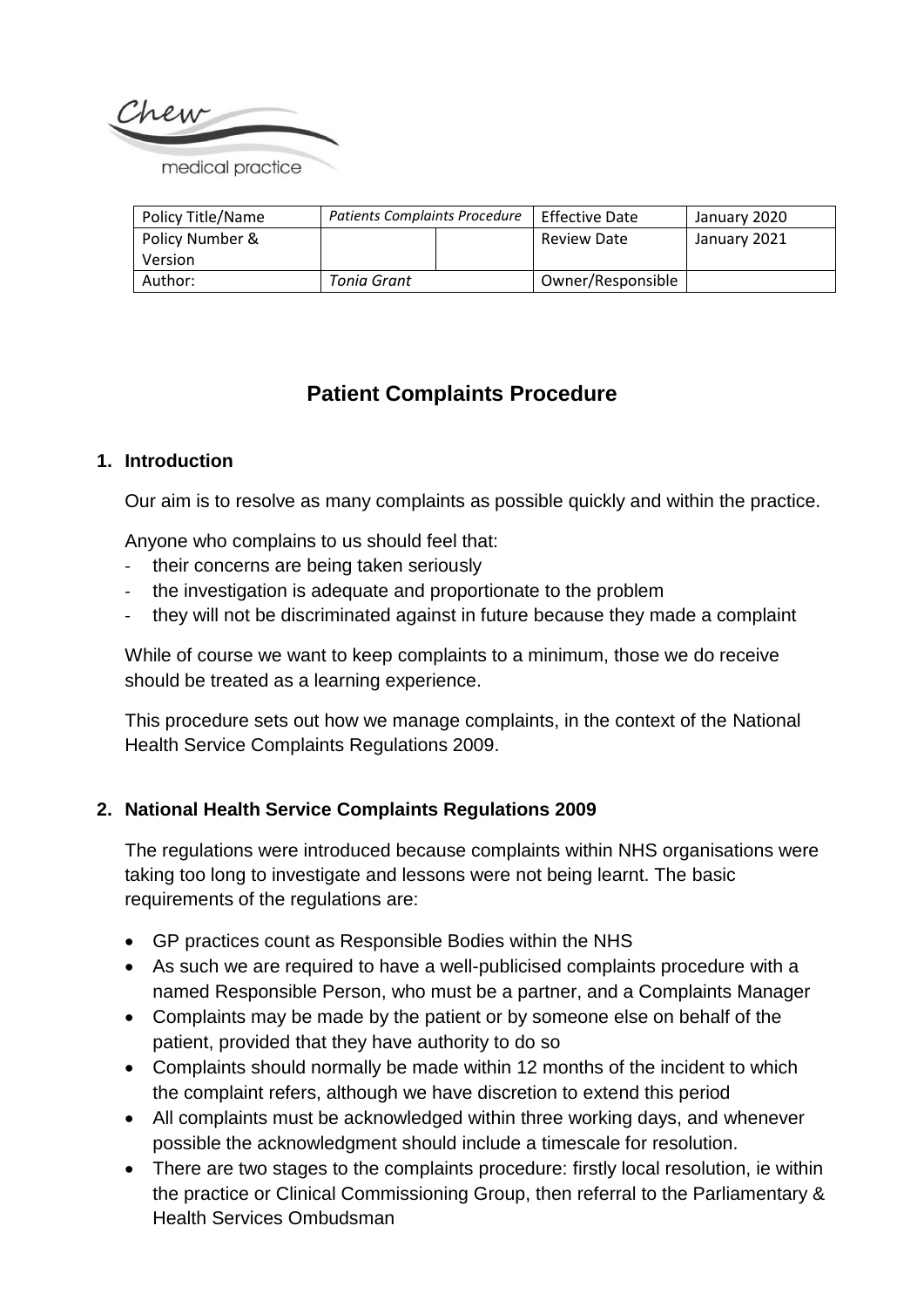

| Policy Title/Name | <b>Patients Complaints Procedure</b> |  | <b>Effective Date</b> | January 2020 |
|-------------------|--------------------------------------|--|-----------------------|--------------|
| Policy Number &   |                                      |  | Review Date           | January 2021 |
| Version           |                                      |  |                       |              |
| Author:           | Tonia Grant                          |  | Owner/Responsible     |              |

# **Patient Complaints Procedure**

#### **1. Introduction**

Our aim is to resolve as many complaints as possible quickly and within the practice.

Anyone who complains to us should feel that:

- their concerns are being taken seriously
- the investigation is adequate and proportionate to the problem
- they will not be discriminated against in future because they made a complaint

While of course we want to keep complaints to a minimum, those we do receive should be treated as a learning experience.

This procedure sets out how we manage complaints, in the context of the National Health Service Complaints Regulations 2009.

#### **2. National Health Service Complaints Regulations 2009**

The regulations were introduced because complaints within NHS organisations were taking too long to investigate and lessons were not being learnt. The basic requirements of the regulations are:

- GP practices count as Responsible Bodies within the NHS
- As such we are required to have a well-publicised complaints procedure with a named Responsible Person, who must be a partner, and a Complaints Manager
- Complaints may be made by the patient or by someone else on behalf of the patient, provided that they have authority to do so
- Complaints should normally be made within 12 months of the incident to which the complaint refers, although we have discretion to extend this period
- All complaints must be acknowledged within three working days, and whenever possible the acknowledgment should include a timescale for resolution.
- There are two stages to the complaints procedure: firstly local resolution, ie within the practice or Clinical Commissioning Group, then referral to the Parliamentary & Health Services Ombudsman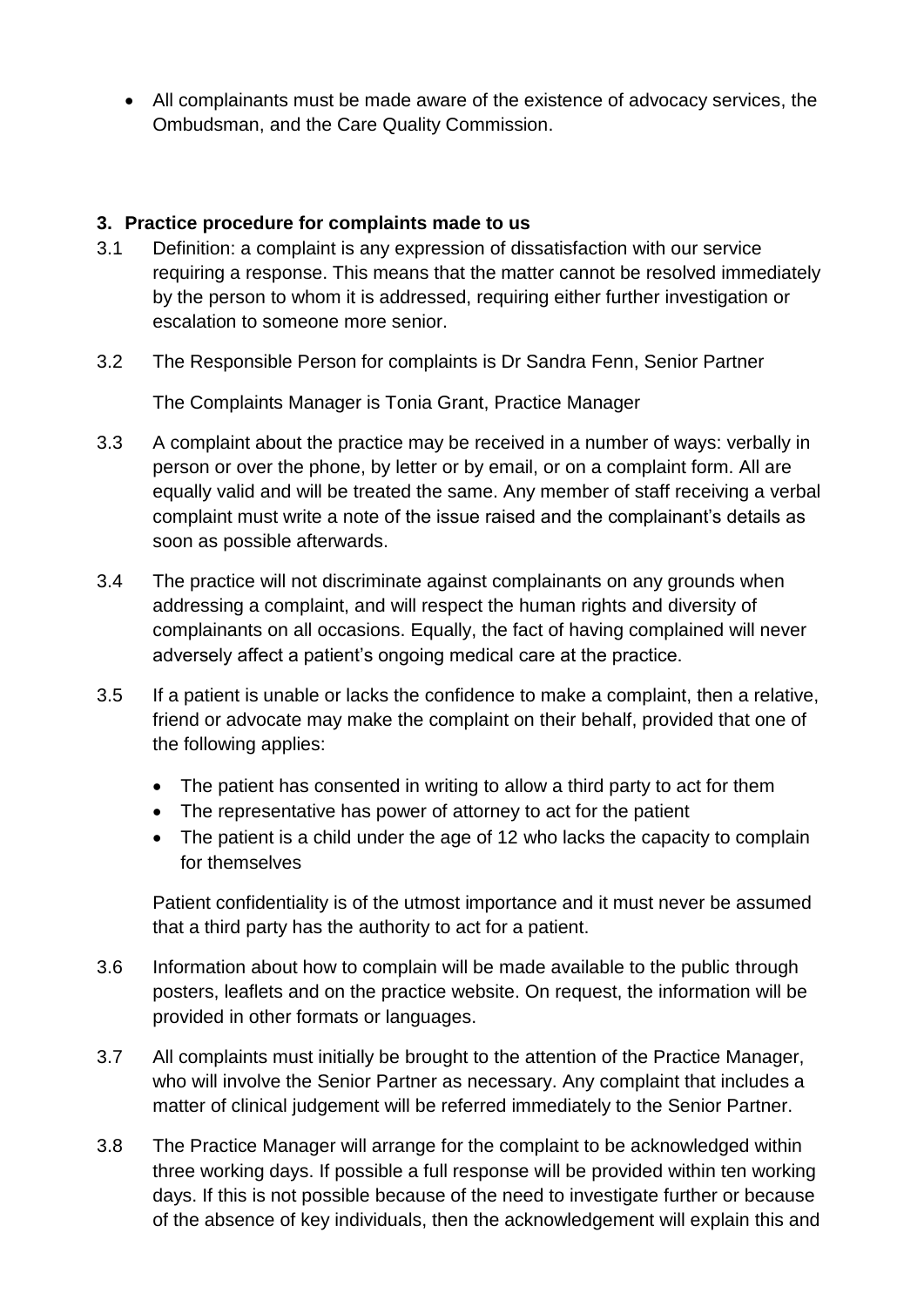All complainants must be made aware of the existence of advocacy services, the Ombudsman, and the Care Quality Commission.

## **3. Practice procedure for complaints made to us**

- 3.1 Definition: a complaint is any expression of dissatisfaction with our service requiring a response. This means that the matter cannot be resolved immediately by the person to whom it is addressed, requiring either further investigation or escalation to someone more senior.
- 3.2 The Responsible Person for complaints is Dr Sandra Fenn, Senior Partner

The Complaints Manager is Tonia Grant, Practice Manager

- 3.3 A complaint about the practice may be received in a number of ways: verbally in person or over the phone, by letter or by email, or on a complaint form. All are equally valid and will be treated the same. Any member of staff receiving a verbal complaint must write a note of the issue raised and the complainant's details as soon as possible afterwards.
- 3.4 The practice will not discriminate against complainants on any grounds when addressing a complaint, and will respect the human rights and diversity of complainants on all occasions. Equally, the fact of having complained will never adversely affect a patient's ongoing medical care at the practice.
- 3.5 If a patient is unable or lacks the confidence to make a complaint, then a relative, friend or advocate may make the complaint on their behalf, provided that one of the following applies:
	- The patient has consented in writing to allow a third party to act for them
	- The representative has power of attorney to act for the patient
	- The patient is a child under the age of 12 who lacks the capacity to complain for themselves

Patient confidentiality is of the utmost importance and it must never be assumed that a third party has the authority to act for a patient.

- 3.6 Information about how to complain will be made available to the public through posters, leaflets and on the practice website. On request, the information will be provided in other formats or languages.
- 3.7 All complaints must initially be brought to the attention of the Practice Manager, who will involve the Senior Partner as necessary. Any complaint that includes a matter of clinical judgement will be referred immediately to the Senior Partner.
- 3.8 The Practice Manager will arrange for the complaint to be acknowledged within three working days. If possible a full response will be provided within ten working days. If this is not possible because of the need to investigate further or because of the absence of key individuals, then the acknowledgement will explain this and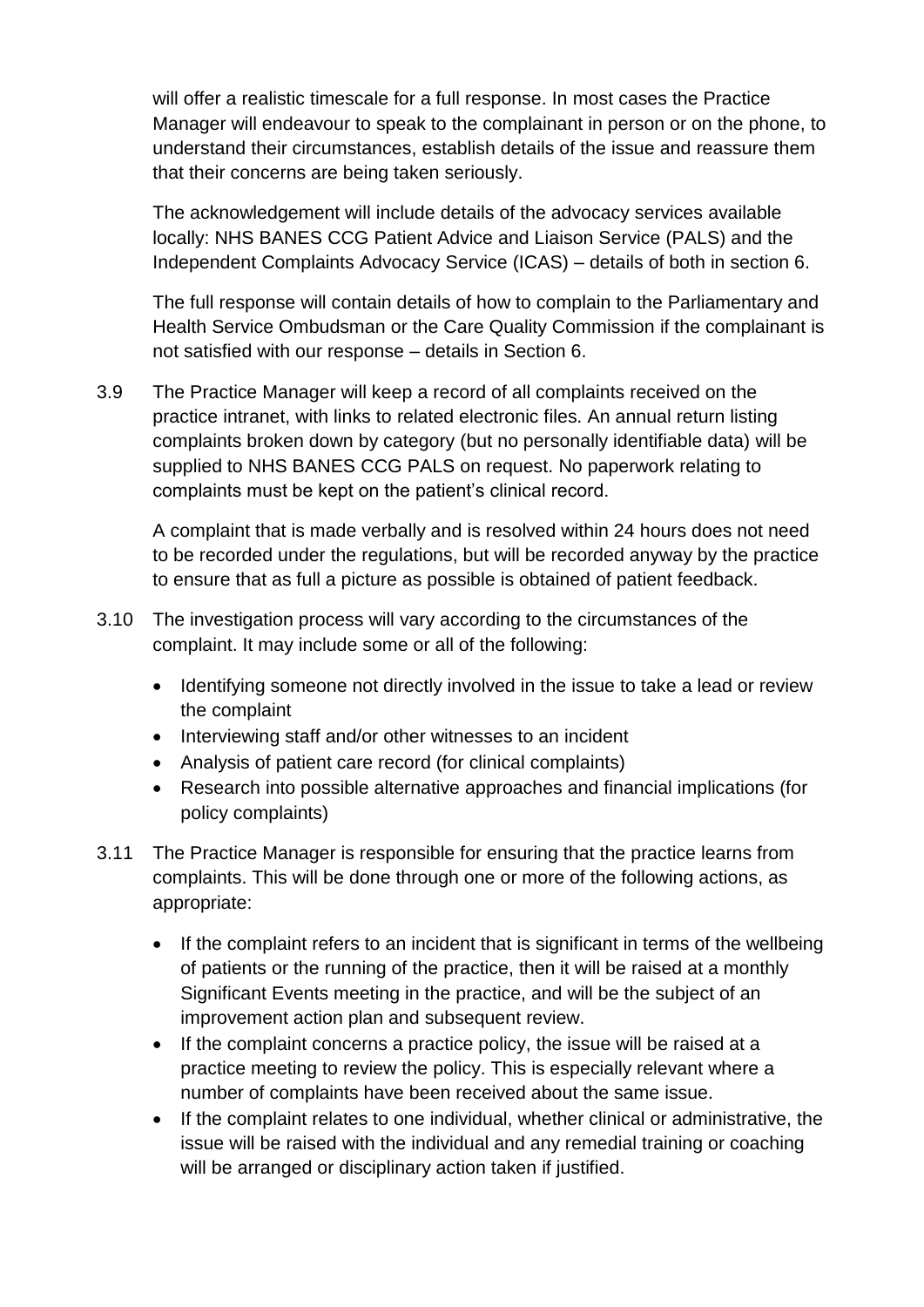will offer a realistic timescale for a full response. In most cases the Practice Manager will endeavour to speak to the complainant in person or on the phone, to understand their circumstances, establish details of the issue and reassure them that their concerns are being taken seriously.

The acknowledgement will include details of the advocacy services available locally: NHS BANES CCG Patient Advice and Liaison Service (PALS) and the Independent Complaints Advocacy Service (ICAS) – details of both in section 6.

The full response will contain details of how to complain to the Parliamentary and Health Service Ombudsman or the Care Quality Commission if the complainant is not satisfied with our response – details in Section 6.

3.9 The Practice Manager will keep a record of all complaints received on the practice intranet, with links to related electronic files. An annual return listing complaints broken down by category (but no personally identifiable data) will be supplied to NHS BANES CCG PALS on request. No paperwork relating to complaints must be kept on the patient's clinical record.

A complaint that is made verbally and is resolved within 24 hours does not need to be recorded under the regulations, but will be recorded anyway by the practice to ensure that as full a picture as possible is obtained of patient feedback.

- 3.10 The investigation process will vary according to the circumstances of the complaint. It may include some or all of the following:
	- Identifying someone not directly involved in the issue to take a lead or review the complaint
	- Interviewing staff and/or other witnesses to an incident
	- Analysis of patient care record (for clinical complaints)
	- Research into possible alternative approaches and financial implications (for policy complaints)
- 3.11 The Practice Manager is responsible for ensuring that the practice learns from complaints. This will be done through one or more of the following actions, as appropriate:
	- If the complaint refers to an incident that is significant in terms of the wellbeing of patients or the running of the practice, then it will be raised at a monthly Significant Events meeting in the practice, and will be the subject of an improvement action plan and subsequent review.
	- If the complaint concerns a practice policy, the issue will be raised at a practice meeting to review the policy. This is especially relevant where a number of complaints have been received about the same issue.
	- If the complaint relates to one individual, whether clinical or administrative, the issue will be raised with the individual and any remedial training or coaching will be arranged or disciplinary action taken if justified.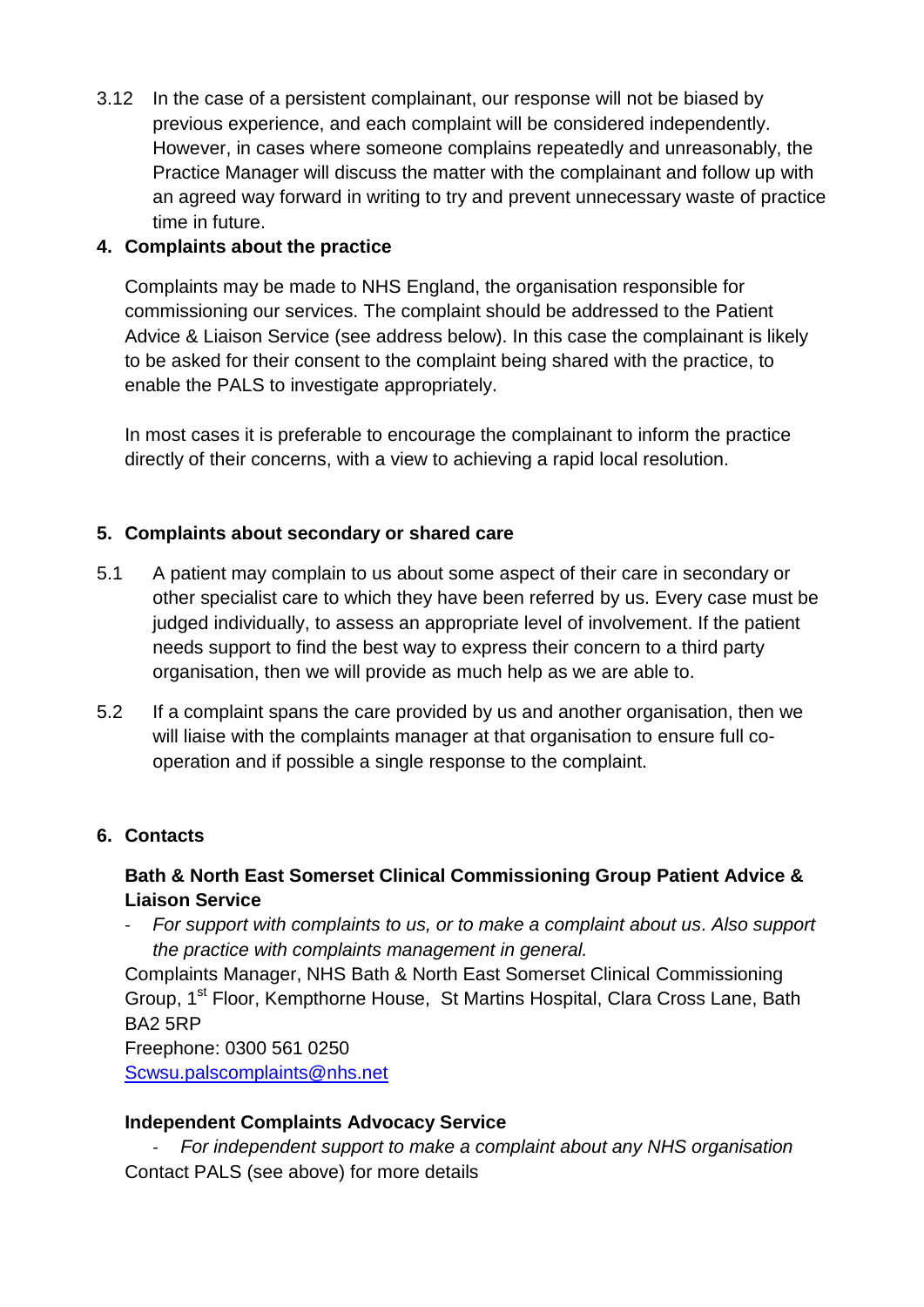3.12 In the case of a persistent complainant, our response will not be biased by previous experience, and each complaint will be considered independently. However, in cases where someone complains repeatedly and unreasonably, the Practice Manager will discuss the matter with the complainant and follow up with an agreed way forward in writing to try and prevent unnecessary waste of practice time in future.

## **4. Complaints about the practice**

Complaints may be made to NHS England, the organisation responsible for commissioning our services. The complaint should be addressed to the Patient Advice & Liaison Service (see address below). In this case the complainant is likely to be asked for their consent to the complaint being shared with the practice, to enable the PALS to investigate appropriately.

In most cases it is preferable to encourage the complainant to inform the practice directly of their concerns, with a view to achieving a rapid local resolution.

## **5. Complaints about secondary or shared care**

- 5.1 A patient may complain to us about some aspect of their care in secondary or other specialist care to which they have been referred by us. Every case must be judged individually, to assess an appropriate level of involvement. If the patient needs support to find the best way to express their concern to a third party organisation, then we will provide as much help as we are able to.
- 5.2 If a complaint spans the care provided by us and another organisation, then we will liaise with the complaints manager at that organisation to ensure full cooperation and if possible a single response to the complaint.

#### **6. Contacts**

## **Bath & North East Somerset Clinical Commissioning Group Patient Advice & Liaison Service**

- *For support with complaints to us, or to make a complaint about us. Also support the practice with complaints management in general.*

Complaints Manager, NHS Bath & North East Somerset Clinical Commissioning Group, 1st Floor, Kempthorne House, St Martins Hospital, Clara Cross Lane, Bath BA2 5RP

Freephone: 0300 561 0250 [Scwsu.palscomplaints@nhs.net](mailto:Scwsu.palscomplaints@nhs.net)

#### **Independent Complaints Advocacy Service**

- *For independent support to make a complaint about any NHS organisation* Contact PALS (see above) for more details